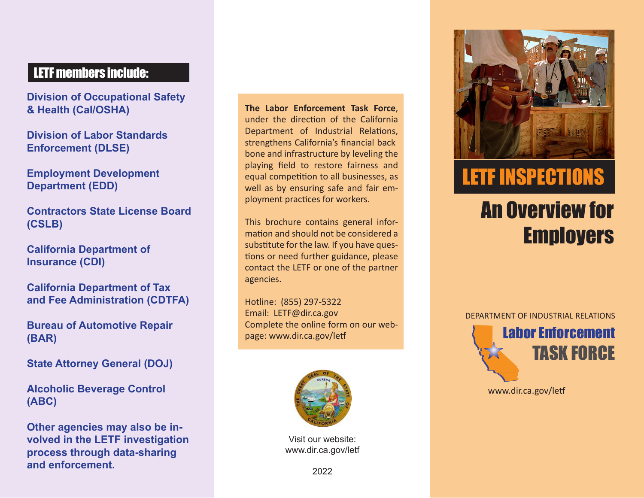## LETF members include:

**Division of Occupational Safety & Health (Cal/OSHA)**

**Division of Labor Standards Enforcement (DLSE)**

**Employment Development Department (EDD)**

**Contractors State License Board (CSLB)**

**California Department of Insurance (CDI)**

**California Department of Tax and Fee Administration (CDTFA)**

**Bureau of Automotive Repair (BAR)**

**State Attorney General (DOJ)** 

**Alcoholic Beverage Control (ABC)**

**Other agencies may also be involved in the LETF investigation process through data-sharing and enforcement.**

- strengthens California's financial back **The Labor Enforcement Task Force**, under the direction of the California Department of Industrial Relations, bone and infrastructure by leveling the playing field to restore fairness and equal competition to all businesses, as well as by ensuring safe and fair em ployment practices for workers.

This brochure contains general infor mation and should not be considered a substitute for the law. If you have ques tions or need further guidance, please contact the LETF or one of the partner agencies. -<br>-<br>-<br>-

Hotline: (855) 297-5322 Email: [LETF@dir.ca.gov](mailto:LETF@dir.ca.gov) Complete the online form on our web page: [www.dir.ca.gov/letf](http://www.dir.ca.gov/letf)



Visit our website: [www.dir.ca.gov/letf](http://www.dir.ca.gov/letf)



# LETF INSPECTIONS

# An Overview for **Employers**

DEPARTMENT OF INDUSTRIAL RELATIONS

Labor Enforcement TASK FORCE

[www.dir.ca.gov/letf](http://www.dir.ca.gov/letf)

2022